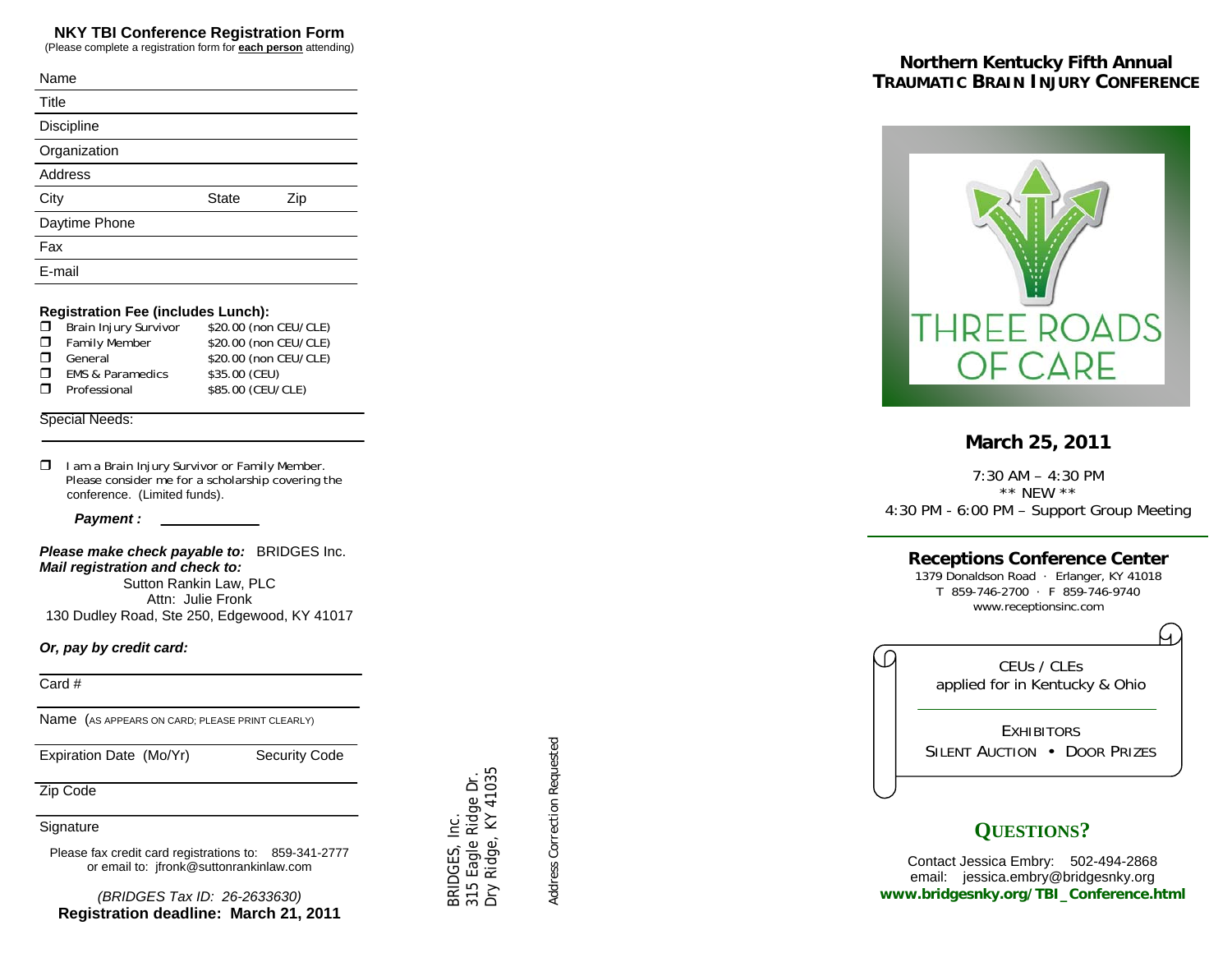# **NKY TBI Conference Registration Form**

(Please complete a registration form for **each person** attending)

| Name           |              |     |
|----------------|--------------|-----|
| Title          |              |     |
| Discipline     |              |     |
| Organization   |              |     |
| <b>Address</b> |              |     |
| City           | <b>State</b> | Zip |
| Daytime Phone  |              |     |
| Fax            |              |     |
| E-mail         |              |     |

#### **Registration Fee (includes Lunch):**

|        | $\Box$ Brain Injury Survivor | \$20.00 (non CEU/CLE) |
|--------|------------------------------|-----------------------|
|        | <b>I</b> Family Member       | \$20.00 (non CEU/CLE) |
| $\Box$ | General                      | \$20.00 (non CEU/CLE) |
| $\Box$ | <b>EMS &amp; Paramedics</b>  | \$35.00 (CEU)         |
| $\Box$ | Professional                 | \$85.00 (CEU/CLE)     |

#### Special Needs:

| σ. | I am a Brain Injury Survivor or Family Member.    |
|----|---------------------------------------------------|
|    | Please consider me for a scholarship covering the |
|    | conference. (Limited funds).                      |

 *Payment :* 

*Please make check payable to:* BRIDGES Inc. *Mail registration and check to:*  Sutton Rankin Law, PLC Attn: Julie Fronk

130 Dudley Road, Ste 250, Edgewood, KY 41017

#### *Or, pay by credit card:*

Card #

Name (AS APPEARS ON CARD; PLEASE PRINT CLEARLY)

Expiration Date (Mo/Yr) Security Code

Zip Code

### Signature

Please fax credit card registrations to: 859-341-2777 or email to: jfronk@suttonrankinlaw.com

*(BRIDGES Tax ID: 26-2633630)* **Registration deadline: March 21, 2011** 

 *Address Correction Requested*  Address Correction Requested

 BRIDGES, Inc. 315 Eagle Ridge Dr. Dry Ridge, KY 41035

3RIDGES, Inc.

315 Eagle Ridge Dr.<br>Dry Ridge, KY 41035

# **Northern Kentucky Fifth Annual TRAUMATIC BRAIN INJURY CONFERENCE**



# **March 25, 2011**

7:30 AM – 4:30 PM \*\* NEW \*\* 4:30 PM - 6:00 PM – Support Group Meeting

# **Receptions Conference Center**

1379 Donaldson Road · Erlanger, KY 41018 T 859-746-2700 · F 859-746-9740 www.receptionsinc.com

Ω CEUs / CLEs applied for in Kentucky & Ohio **EXHIBITORS** SILENT AUCTION • DOOR PRIZES

# **QUESTIONS?**

Contact Jessica Embry: 502-494-2868 email: jessica.embry@bridgesnky.org **www.bridgesnky.org/TBI\_Conference.html**